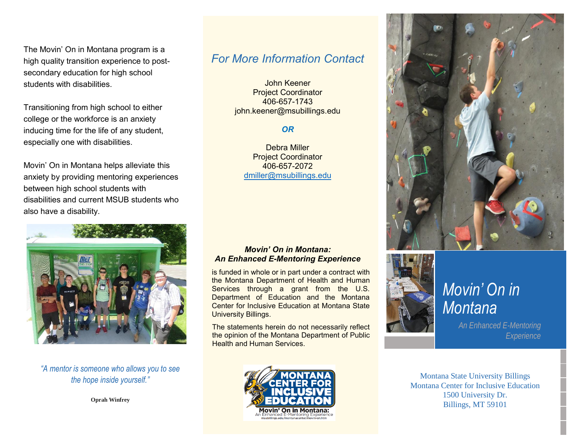The Movin' On in Montana program is a high quality transition experience to postsecondary education for high school students with disabilities.

Transitioning from high school to either college or the workforce is an anxiety inducing time for the life of any student, especially one with disabilities.

Movin' On in Montana helps alleviate this anxiety by providing mentoring experiences between high school students with disabilities and current MSUB students who also have a disability.



*"A mentor is someone who allows you to see the hope inside yourself."*

**Oprah Winfrey**

#### *For More Information Contact*

John Keener Project Coordinator 406-657-1743 john.keener@msubillings.edu

#### *OR*

Debra Miller Project Coordinator 406-657-2072 [dmiller@msubillings.edu](mailto:dmiller@msubillings.edu)

*Movin' On in Montana: An Enhanced E-Mentoring Experience*  is funded in whole or in part under a contract with the Montana Department of Health and Human Services through a grant from the U.S. Department of Education and the Montana Center for Inclusive Education at Montana State

University Billings.

Health and Human Services.



## *Movin' On in Montana*

*An Enhanced E-Mentoring Experience*

The statements herein do not necessarily reflect the opinion of the Montana Department of Public

> Montana State University Billings Montana Center for Inclusive Education 1500 University Dr. Billings, MT 59101